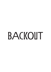# BACKOUT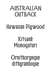#### AISTRALIAN OIITBACK

#### Hawaiian Pluwood

#### Kitsunē **Monogatari**

Ornithorunque dithurambique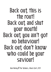Back out, this is the rout! Back out, and shut your mouth! Back out, you ain't got no behaviour! Back out, don't know who could be your saviour!

Bob Marley **E** The Wailers, **«Back Out »**, 1971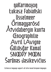#### па Кагі појоп Łukasz Fabiański **ilsselmeer Örimaquarösd** Ätvidabergin kunta **Enographilie** Avril LAvigne Gäliäsäar Kamal SNOOPY MOON Šarūnas Jasikevičius

Extensive language support: all latin-based European languages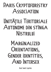#### PARIS CRYPTOFORESTRY ASSOCIATION

#### UNITĂȚILE TERITORIALE AUTONOME DIN STÎNGA Nistrului

#### MARGINALIZED ORIENTATIONS, GENDER IDENTITIES, AND INTERSEX

Real Small Capitals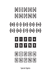

**Special figures**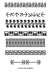## ╔┿┑╙╒╊┑╙┞╔╋┑╙╒╋┑╙┞╔╋┑╙╒╋┑╙

CRAZAVULE

# 

#### ha ha ha ha ha ha ha ha ha

#### | 41 41 41 41 41 41 41 41 41 41 41 4

 $\langle\langle\langle\begin{array}{ccc}\begin{array}{ccc}\end{array}\end{array}\end{array}\rangle\rangle\langle\langle\langle\begin{array}{ccc}\end{array}\end{array}\rangle\rangle\rangle$ 

**Arrows and ornaments**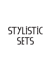# STYLISTIC **SETS**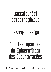### Baccalauréat catastrophique

#### Chevry-Cossigny

#### Sur les pycnides du Sphærotheca des Cucurbitacées

SS01 - Square - makes everything that can be squared, squared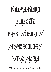

SSOZ - Crazy - capitals with delires de grandeur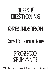# **QUEER ET ØRESIINDSBRON Kargtic Formations**

#### **PROSECCO SPIIMANTE**

SSOR - Deco - original square Q, alternative faces for the S and R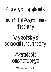# Gray young ghouls Institut d'Agronomie d'İssigny

#### **Vygotsky's** sociocultural theory

#### Agradable **SYSIONEMOND**

 $SSI4 - Alternative$  q and y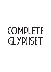# COMPLETE GLYPHSET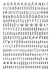AĀĀĀĀĀĀAĀĀĀÆBCC ČÇĊDĐĎĐEĒĔĒËĖĒĒĘFGĞĢĠ H # İ Ü Ī Ī Ï İ Ī Ī I U K Ķ L Ī L Ļ L Ł M N N ŇŅŅÑOŎŎÖŐŐŎŐŒPÞ QRRRSSSSSBTFTTJUŪŪ<br>ÜŪŰŪŲŮVWŴŴŴWXY **ŽŶŸŸZŽŽZRĀŘĀĀĀĀÆDLĒ** QRRŖSŚŠȘȘABZKMNNDØR ds F & E E E E E E E E R A Q Y Y P Q K V V T Z C Č Č Ç Ċ d Õ ď đ P P P P P P P P P P H J J gghhirriririjikkllllletmnn П П П П О О О О О О О О О О О Р Р Ч Г Г Г Г  $S\ \ \tilde{S}\ \ \tilde{S}\ \ S\ \ S\ \ \mathsf{B}\ \ \mathsf{I}\ \ \tilde{\mathsf{I}}\ \ \tilde{\mathsf{I}}\ \ \mathsf{I}\ \ \mathsf{II}\ \ \mathsf{II}\ \ \mathsf{II}\ \ \mathsf{II}\ \ \mathsf{III}\ \ \mathsf{III}\ \ \mathsf{III}\ \ \mathsf{III}\ \ \mathsf{V}\ \ \mathsf{VV}\ \ \mathsf{V}$ **W W W W X Y I I I I I Z Z Z Z E E E E E E E Z** aå a æ b c č č ç d d' đ e é ě ê è è è F g ğ g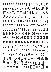$\dot{g}$  o ó ô ö ö ő ő ø ő œ p q s ś š  $\gamma$   $\ddot{\gamma}$   $\ddot{\gamma}$   $\ddot{\gamma}$ SSŠŠŠYЎЎЎЎ AV AXLA @ VF IIT WwW TV ff ffi ffl fi fl tv M M A A **ÄAÄÄÄÆBCÇDÕEĒĒĒFG** HIIIIIIKLMNNDOÖÖÖGPPQ RSBTTUŨŨÜŬVWŴŴŴŴXY **ŽŽŽŽRS<sup>4</sup> "0123456789@II** [2] [3] [4] [5] [6] [7] [9] [9] 《u》 《l》 《z》 《s》 《4》 (G) (G) (7) (G) (4) (F) 1 2 3 4 5 **ME 0 0 2 3 4 5 6 7 6 9 8 8 <sub>0 1 2</sub>**  $3455799$ <sup>UI23456799/1/<sub>2</sub>1/<sub>2</sub><sup>3</sup>/<sub>4</sub>.,:;</sup>  $...||P|| \cdot$  \* # / \ ( ) [ ] [ ] - - - $1.4117$  (c) c) "'d \$ E + \ + x + = ) (  $\|\Psi\mathbf{u}\mathbf{v}\wedge\mathbf{v}\rightarrow\mathbf{v}\vee\mathbf{v}\in\mathbb{R}\leftrightarrow\mathbb{C}$ ◆ O □ 選品 中空 D 可 H B O R P  $'$ lit  $*$  M  $\leftarrow \rightarrow$  M  $\ominus$   $\Box$   $F$  R  $\triangleright$   $\Box$   $\odot$